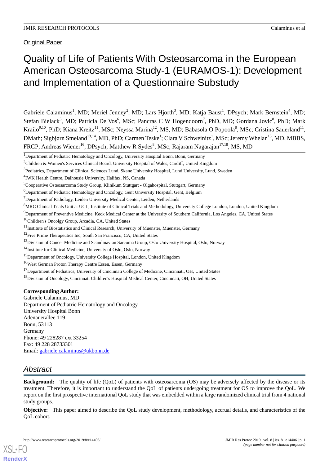Original Paper

# Quality of Life of Patients With Osteosarcoma in the European American Osteosarcoma Study-1 (EURAMOS-1): Development and Implementation of a Questionnaire Substudy

Gabriele Calaminus<sup>1</sup>, MD; Meriel Jenney<sup>2</sup>, MD; Lars Hjorth<sup>3</sup>, MD; Katja Baust<sup>1</sup>, DPsych; Mark Bernstein<sup>4</sup>, MD; Stefan Bielack<sup>5</sup>, MD; Patricia De Vos<sup>6</sup>, MSc; Pancras C W Hogendoorn<sup>7</sup>, PhD, MD; Gordana Jovic<sup>8</sup>, PhD; Mark Krailo<sup>9,10</sup>, PhD; Kiana Kreitz<sup>11</sup>, MSc; Neyssa Marina<sup>12</sup>, MS, MD; Babasola O Popoola<sup>8</sup>, MSc; Cristina Sauerland<sup>11</sup>, DMath; Sigbjørn Smeland<sup>13,14</sup>, MD, PhD; Carmen Teske<sup>1</sup>; Clara V Schweinitz<sup>1</sup>, MSc; Jeremy Whelan<sup>15</sup>, MD, MBBS, FRCP; Andreas Wiener<sup>16</sup>, DPsych; Matthew R Sydes<sup>8</sup>, MSc; Rajaram Nagarajan<sup>17,18</sup>, MS, MD

## **Corresponding Author:**

Gabriele Calaminus, MD Department of Pediatric Hematology and Oncology University Hospital Bonn Adenauerallee 119 Bonn, 53113 Germany Phone: 49 228287 ext 33254 Fax: 49 228 28733301 Email: [gabriele.calaminus@ukbonn.de](mailto:gabriele.calaminus@ukbonn.de)

## *Abstract*

[XSL](http://www.w3.org/Style/XSL)•FO **[RenderX](http://www.renderx.com/)**

**Background:** The quality of life (QoL) of patients with osteosarcoma (OS) may be adversely affected by the disease or its treatment. Therefore, it is important to understand the QoL of patients undergoing treatment for OS to improve the QoL. We report on the first prospective international QoL study that was embedded within a large randomized clinical trial from 4 national study groups.

**Objective:** This paper aimed to describe the QoL study development, methodology, accrual details, and characteristics of the QoL cohort.

<sup>&</sup>lt;sup>1</sup>Department of Pediatric Hematology and Oncology, University Hospital Bonn, Bonn, Germany

<sup>&</sup>lt;sup>2</sup>Children & Women's Services Clinical Board, University Hospital of Wales, Cardiff, United Kingdom

<sup>&</sup>lt;sup>3</sup> Pediatrics, Department of Clinical Sciences Lund, Skane University Hospital, Lund University, Lund, Sweden

<sup>4</sup> IWK Health Centre, Dalhousie University, Halifax, NS, Canada

<sup>5</sup>Cooperative Osteosarcoma Study Group, Klinikum Stuttgart - Olgahospital, Stuttgart, Germany

<sup>&</sup>lt;sup>6</sup>Department of Pediatric Hematology and Oncology, Gent University Hospital, Gent, Belgium

<sup>&</sup>lt;sup>7</sup>Department of Pathology, Leiden University Medical Center, Leiden, Netherlands

<sup>8</sup>MRC Clinical Trials Unit at UCL, Institute of Clinical Trials and Methodology, University College London, London, United Kingdom

<sup>&</sup>lt;sup>9</sup>Department of Preventive Medicine, Keck Medical Center at the University of Southern California, Los Angeles, CA, United States

<sup>10</sup>Children's Oncolgy Group, Arcadia, CA, United States

<sup>&</sup>lt;sup>11</sup>Institute of Biostatistics and Clinical Research, University of Muenster, Muenster, Germany

<sup>&</sup>lt;sup>12</sup>Five Prime Therapeutics Inc, South San Francisco, CA, United States

<sup>&</sup>lt;sup>13</sup>Division of Cancer Medicine and Scandinavian Sarcoma Group, Oslo University Hospital, Oslo, Norway

<sup>&</sup>lt;sup>14</sup>Institute for Clinical Medicine, University of Oslo, Oslo, Norway

<sup>&</sup>lt;sup>15</sup>Department of Oncology, University College Hospital, London, United Kingdom

<sup>16</sup>West German Proton Therapy Centre Essen, Essen, Germany

<sup>&</sup>lt;sup>17</sup>Department of Pediatrics, University of Cincinnati College of Medicine, Cincinnati, OH, United States

<sup>&</sup>lt;sup>18</sup>Division of Oncology, Cincinnati Children's Hospital Medical Center, Cincinnati, OH, United States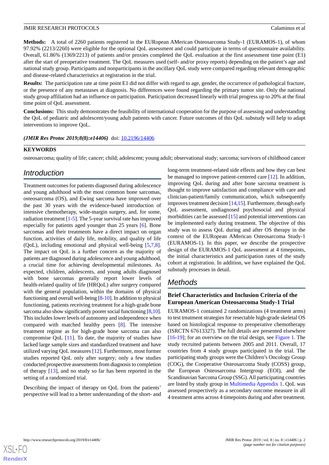**Methods:** A total of 2260 patients registered in the EURopean AMerican Osteosarcoma Study-1 (EURAMOS-1), of whom 97.92% (2213/2260) were eligible for the optional QoL assessment and could participate in terms of questionnaire availability. Overall, 61.86% (1369/2213) of patients and/or proxies completed the QoL evaluation at the first assessment time point (E1) after the start of preoperative treatment. The QoL measures used (self- and/or proxy reports) depending on the patient's age and national study group. Participants and nonparticipants in the ancillary QoL study were compared regarding relevant demographic and disease-related characteristics at registration in the trial.

**Results:** The participation rate at time point E1 did not differ with regard to age, gender, the occurrence of pathological fracture, or the presence of any metastases at diagnosis. No differences were found regarding the primary tumor site. Only the national study group affiliation had an influence on participation. Participation decreased linearly with trial progress up to 20% at the final time point of QoL assessment.

**Conclusions:** This study demonstrates the feasibility of international cooperation for the purpose of assessing and understanding the QoL of pediatric and adolescent/young adult patients with cancer. Future outcomes of this QoL substudy will help to adapt interventions to improve QoL.

### (JMIR Res Protoc 2019;8(8):e14406) doi: [10.2196/14406](http://dx.doi.org/10.2196/14406)

### **KEYWORDS**

osteosarcoma; quality of life; cancer; child; adolescent; young adult; observational study; sarcoma; survivors of childhood cancer

## *Introduction*

Treatment outcomes for patients diagnosed during adolescence and young adulthood with the most common bone sarcomas, osteosarcoma (OS), and Ewing sarcoma have improved over the past 30 years with the evidence-based introduction of intensive chemotherapy, wide-margin surgery, and, for some, radiation treatment [[1-](#page-13-0)[5\]](#page-13-1). The 5-year survival rate has improved especially for patients aged younger than 25 years [\[6](#page-13-2)]. Bone sarcomas and their treatments have a direct impact on organ function, activities of daily life, mobility, and quality of life (QoL), including emotional and physical well-being [[5](#page-13-1)[,7](#page-13-3),[8\]](#page-13-4). The impact on QoL is a further concern as the majority of patients are diagnosed during adolescence and young adulthood, a crucial time for achieving developmental milestones. As expected, children, adolescents, and young adults diagnosed with bone sarcomas generally report lower levels of health-related quality of life (HRQoL) after surgery compared with the general population, within the domains of physical functioning and overall well-being [[8-](#page-13-4)[10](#page-13-5)]. In addition to physical functioning, patients receiving treatment for a high-grade bone sarcoma also show significantly poorer social functioning [\[8](#page-13-4)[,10\]](#page-13-5). This includes lower levels of autonomy and independence when compared with matched healthy peers [[8\]](#page-13-4). The intensive treatment regime as for high-grade bone sarcoma can also compromise QoL [[11\]](#page-13-6). To date, the majority of studies have lacked large sample sizes and standardized treatment and have utilized varying QoL measures [\[12](#page-13-7)]. Furthermore, most former studies reported QoL only after surgery; only a few studies conducted prospective assessments from diagnosis to completion of therapy [[13\]](#page-13-8), and no study so far has been reported in the setting of a randomized trial.

Describing the impact of therapy on QoL from the patients' perspective will lead to a better understanding of the short- and long-term treatment-related side effects and how they can best be managed to improve patient-centered care [[12\]](#page-13-7). In addition, improving QoL during and after bone sarcoma treatment is thought to improve satisfaction and compliance with care and clinician-patient/family communication, which subsequently improves treatment decision [\[14](#page-13-9)[,15](#page-13-10)]. Furthermore, through early QoL assessment, undiagnosed psychosocial and physical morbidities can be assessed [[15\]](#page-13-10) and potential interventions can be implemented early during treatment. The objective of this study was to assess QoL during and after OS therapy in the context of the EURopean AMerican Osteosarcoma Study-1 (EURAMOS-1). In this paper, we describe the prospective design of the EURAMOS-1 QoL assessment at 4 timepoints, the initial characteristics and participation rates of the study cohort at registration. In addition, we have explained the QoL substudy processes in detail.

## *Methods*

## **Brief Characteristics and Inclusion Criteria of the European American Osteosarcoma Study-1 Trial**

EURAMOS-1 contained 2 randomizations (4 treatment arms) to test treatment strategies for resectable high-grade skeletal OS based on histological response to preoperative chemotherapy (ISRCTN 67613327). The full details are presented elsewhere [[16](#page-13-11)[-19](#page-14-0)]; for an overview on the trial design, see [Figure 1](#page-2-0). The study recruited patients between 2005 and 2011. Overall, 17 countries from 4 study groups participated in the trial. The participating study groups were the Children's Oncology Group (COG), the Cooperative Osteosarcoma Study (COSS) group, the European Osteosarcoma Intergroup (EOI), and the Scandinavian Sarcoma Group (SSG). All participating countries are listed by study group in [Multimedia Appendix 1](#page-12-0). QoL was assessed prospectively as a secondary outcome measure in all 4 treatment arms across 4 timepoints during and after treatment.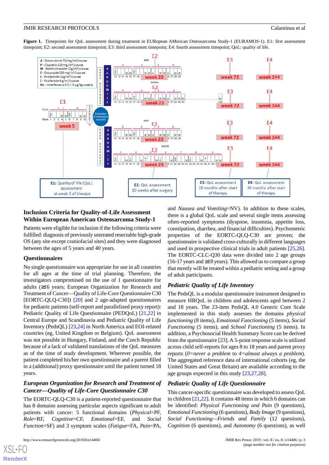<span id="page-2-0"></span>Figure 1. Timepoints for QoL assessment during treatment in EURopean AMerican Osteosarcoma Study-1 (EURAMOS-1). E1: first assessment timepoint; E2: second assessment timepoint; E3: third assessment timepoint; E4: fourth assessment timepoint; QoL: quality of life.



## **Inclusion Criteria for Quality-of-Life Assessment Within European American Osteosarcoma Study-1**

Patients were eligible for inclusion if the following criteria were fulfilled: diagnosis of previously untreated resectable high-grade OS (any site except craniofacial sites) and they were diagnosed between the ages of 5 years and 40 years.

#### **Questionnaires**

No single questionnaire was appropriate for use in all countries for all ages at the time of trial planning. Therefore, the investigators compromised on the use of 1 questionnaire for adults (≥16 years; European Organization for Research and Treatment of Cancer—Quality of Life-Core Questionnaire C30 [EORTC-QLQ-C30]) [\[20](#page-14-1)] and 2 age-adapted questionnaires for pediatric patients (self-report and parallelized proxy report): Pediatric Quality of Life Questionnaire (PEDQoL) [[21](#page-14-2)[,22](#page-14-3)] in Central Europe and Scandinavia and Pediatric Quality of Life Inventory (PedsQL) [[23,](#page-14-4)[24](#page-14-5)] in North America and EOI-related countries (eg, United Kingdom or Belgium). QoL assessment was not possible in Hungary, Finland, and the Czech Republic because of a lack of validated translations of the QoL measures as of the time of study development. Wherever possible, the patient completed his/her own questionnaire and a parent filled in a (additional) proxy questionnaire until the patient turned 18 years.

## *European Organization for Research and Treatment of Cancer—Quality of Life-Core Questionnaire C30*

The EORTC-QLQ-C30 is a patient-reported questionnaire that has 8 domains assessing particular aspects significant to adult patients with cancer: 5 functional domains (*Physical*=PF, *Role*=RF, *Cognitive*=CF, *Emotional*=EF, and *Social Function*=SF) and 3 symptom scales (*Fatigue*=FA, *Pain*=PA,

http://www.researchprotocols.org/2019/8/e14406/  $J$ , 3 | e14406 | p. 3

and *Nausea and Vomiting*=NV). In addition to these scales, there is a global QoL scale and several single items assessing often-reported symptoms (dyspnoe, insomnia*,* appetite loss, constipation, diarrhea, and financial difficulties). Psychometric properties of the EORTC-QLQ-C30 are proven; the questionnaire is validated cross-culturally in different languages and used in prospective clinical trials in adult patients [\[25](#page-14-6),[26\]](#page-14-7). The EORTC-CLC-Q30 data were divided into 2 age groups  $(16-17 \text{ years}$  and  $\geq 18 \text{ years}$ ). This allowed us to compare a group that mostly will be treated within a pediatric setting and a group of adult participants.

#### *Pediatric Quality of Life Inventory*

The PedsQL is a modular questionnaire instrument designed to measure HRQoL in children and adolescents aged between 2 and 18 years. The 23-item PedsQL 4.0 Generic Core Scale implemented in this study assesses the domains *physical functioning* (8 items), *Emotional Functioning* (5 items), *Social Functioning* (5 items), and *School Functioning* (5 items). In addition, a Psychosocial Health Summary Score can be derived from the questionnaire [\[23](#page-14-4)]. A 5-point response scale is utilized across child self-reports for ages 8 to 18 years and parent proxy reports (*0=never a problem* to *4=almost always a problem*). The aggregated reference data of international cohorts (eg, the United States and Great Britain) are available according to the age groups expected in this study [\[23](#page-14-4),[27](#page-14-8)[,28](#page-14-9)].

#### *Pediatric Quality of Life Questionnaire*

This cancer-specific questionnaire was developed to assess QoL in children [\[21](#page-14-2),[22\]](#page-14-3). It contains 48 items in which 6 domains can be identified: *Physical Functioning and Pain* (9 questions), *Emotional Functioning* (6 questions), *Body Image* (9 questions), *Social Functioning—Friends and Family* (12 questions), *Cognition* (6 questions), and *Autonomy* (6 questions), as well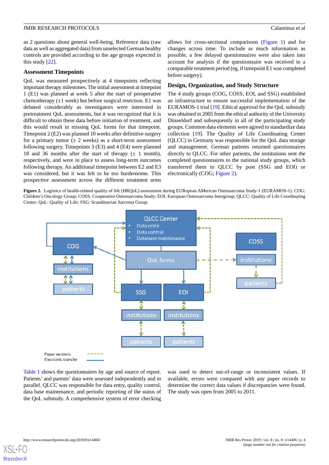as 2 questions about general well-being. Reference data (raw data as well as aggregated data) from unselected German healthy controls are provided according to the age groups expected in this study [[22\]](#page-14-3).

## **Assessment Timepoints**

QoL was measured prospectively at 4 timepoints reflecting important therapy milestones. The initial assessment at timepoint 1 (E1) was planned at week 5 after the start of preoperative chemotherapy  $(\pm 1$  week) but before surgical resection. E1 was debated considerably as investigators were interested in pretreatment QoL assessments, but it was recognized that it is difficult to obtain these data before initiation of treatment, and this would result in missing QoL forms for that timepoint. Timepoint 2 (E2) was planned 10 weeks after definitive surgery for a primary tumor  $(\pm 2$  weeks) as a short-term assessment following surgery. Timepoints 3 (E3) and 4 (E4) were planned 18 and 36 months after the start of therapy  $(\pm 1 \text{ month})$ , respectively, and were in place to assess long-term outcomes following therapy. An additional timepoint between E2 and E3 was considered, but it was felt to be too burdensome. This prospective assessment across the different treatment arms

allows for cross-sectional comparisons [\(Figure 1](#page-2-0)) and for changes across time. To include as much information as possible, a few delayed questionnaires were also taken into account for analysis if the questionnaire was received in a comparable treatment period (eg, if timepoint E1 was completed before surgery).

#### **Design, Organization, and Study Structure**

The 4 study groups (COG, COSS, EOI, and SSG) established an infrastructure to ensure successful implementation of the EURAMOS-1 trial [\[19](#page-14-0)]. Ethical approval for the QoL substudy was obtained in 2005 from the ethical authority of the University Düsseldorf and subsequently in all of the participating study groups. Common data elements were agreed to standardize data collection [\[19](#page-14-0)]. The Quality of Life Coordinating Center (QLCC) in Germany was responsible for the QoL data storage and management. German patients returned questionnaires directly to QLCC. For other patients, the institutions sent the completed questionnaires to the national study groups, which transferred them to QLCC by post (SSG and EOI) or electronically (COG; [Figure 2\)](#page-3-0).

<span id="page-3-0"></span>**Figure 2.** Logistics of health-related quality of life (HRQoL) assessment during EURopean AMerican Osteosarcoma Study-1 (EURAMOS-1). COG: Children's Oncology Group; COSS: Cooperative Osteosarcoma Study; EOI: European Osteosarcoma Intergroup; QLCC: Quality of Life Coordinating Center; QoL: Quality of Life; SSG: Scandinavian Sarcoma Group.



[Table 1](#page-4-0) shows the questionnaires by age and source of report. Patients' and parents' data were assessed independently and in parallel. QLCC was responsible for data entry, quality control, data base maintenance, and periodic reporting of the status of the QoL substudy. A comprehensive system of error checking

was used to detect out-of-range or inconsistent values. If available, errors were compared with any paper records to determine the correct data values if discrepancies were found. The study was open from 2005 to 2011.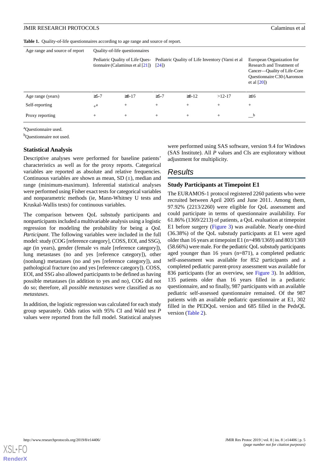<span id="page-4-0"></span>Table 1. Quality-of-life questionnaires according to age range and source of report.

| Age range and source of report | Quality-of-life questionnaires |                                                                        |            |                                                  |          |                                                                                                                                      |
|--------------------------------|--------------------------------|------------------------------------------------------------------------|------------|--------------------------------------------------|----------|--------------------------------------------------------------------------------------------------------------------------------------|
|                                |                                | Pediatric Quality of Life Ques-<br>tionnaire (Calaminus et al $[21]$ ) | [24]       | Pediatric Quality of Life Inventory (Varni et al |          | European Organization for<br>Research and Treatment of<br>Cancer—Quality of Life-Core<br>Questionnaire C30 (Aaronson<br>et al $[20]$ |
| Age range (years)              | $\geq 5-7$                     | $\geq 8 - 17$                                                          | $\geq 5-7$ | $\geq 8 - 12$                                    | $>12-17$ | $\geq 16$                                                                                                                            |
| Self-reporting                 | $+$ <sup>a</sup>               | $^{+}$                                                                 | $+$        | $+$                                              | $^{+}$   | $^{+}$                                                                                                                               |
| Proxy reporting                | $+$                            | $+$                                                                    | $+$        | $^{+}$                                           | $^{+}$   | $\mathbf{b}$                                                                                                                         |

<sup>a</sup>Questionnaire used.

<sup>b</sup>Questionnaire not used.

#### **Statistical Analysis**

Descriptive analyses were performed for baseline patients' characteristics as well as for the proxy reports. Categorical variables are reported as absolute and relative frequencies. Continuous variables are shown as mean, SD  $(\pm)$ , median and range (minimum-maximum). Inferential statistical analyses were performed using Fisher exact tests for categorical variables and nonparametric methods (ie, Mann-Whitney U tests and Kruskal-Wallis tests) for continuous variables.

The comparison between QoL substudy participants and nonparticipants included a multivariable analysis using a logistic regression for modeling the probability for being a *QoL Participant*. The following variables were included in the full model: study (COG [reference category], COSS, EOI, and SSG), age (in years), gender (female vs male [reference category]), lung metastases (no and yes [reference category]), other (nonlung) metastases (no and yes [reference category]), and pathological fracture (no and yes [reference category]). COSS, EOI, and SSG also allowed participants to be defined as having possible metastases (in addition to yes and no), COG did not do so; therefore, all *possible metastases* were classified as *no metastases*.

In addition, the logistic regression was calculated for each study group separately. Odds ratios with 95% CI and Wald test *P* values were reported from the full model. Statistical analyses were performed using SAS software, version 9.4 for Windows (SAS Institute). All *P* values and CIs are exploratory without adjustment for multiplicity.

## *Results*

## **Study Participants at Timepoint E1**

The EURAMOS-1 protocol registered 2260 patients who were recruited between April 2005 and June 2011. Among them, 97.92% (2213/2260) were eligible for QoL assessment and could participate in terms of questionnaire availability. For 61.86% (1369/2213) of patients, a QoL evaluation at timepoint E1 before surgery ([Figure 3](#page-5-0)) was available. Nearly one-third (36.38%) of the QoL substudy participants at E1 were aged older than 16 years at timepoint E1 (n=498/1369) and 803/1369 (58.66%) were male. For the pediatric QoL substudy participants aged younger than 16 years (n=871), a completed pediatric self-assessment was available for 852 participants and a completed pediatric parent-proxy assessment was available for 836 participants (for an overview, see [Figure 3](#page-5-0)). In addition, 135 patients older than 16 years filled in a pediatric questionnaire, and so finally, 987 participants with an available pediatric self-assessed questionnaire remained. Of the 987 patients with an available pediatric questionnaire at E1, 302 filled in the PEDQoL version and 685 filled in the PedsQL version ([Table 2](#page-6-0)).

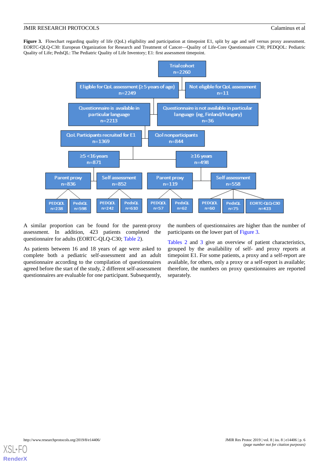<span id="page-5-0"></span>Figure 3. Flowchart regarding quality of life (QoL) eligibility and participation at timepoint E1, split by age and self versus proxy assessment. EORTC-QLQ-C30: European Organization for Research and Treatment of Cancer—Quality of Life-Core Questionnaire C30; PEDQOL: Pediatric Quality of Life; PedsQL: The Pediatric Quality of Life Inventory; E1: first assessment timepoint.



A similar proportion can be found for the parent-proxy assessment. In addition, 423 patients completed the questionnaire for adults (EORTC-QLQ-C30; [Table 2\)](#page-6-0).

As patients between 16 and 18 years of age were asked to complete both a pediatric self-assessment and an adult questionnaire according to the compilation of questionnaires agreed before the start of the study, 2 different self-assessment questionnaires are evaluable for one participant. Subsequently,

the numbers of questionnaires are higher than the number of participants on the lower part of [Figure 3.](#page-5-0)

[Tables 2](#page-6-0) and [3](#page-7-0) give an overview of patient characteristics, grouped by the availability of self- and proxy reports at timepoint E1. For some patients, a proxy and a self-report are available, for others, only a proxy or a self-report is available; therefore, the numbers on proxy questionnaires are reported separately.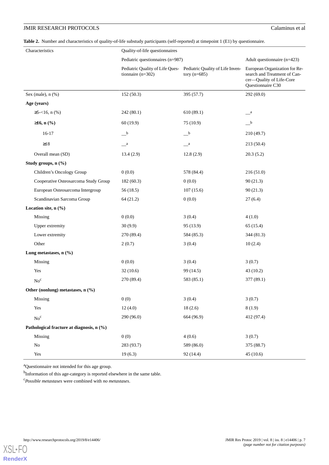<span id="page-6-0"></span>**Table 2.** Number and characteristics of quality-of-life substudy participants (self-reported) at timepoint 1 (E1) by questionnaire.

| Characteristics                           | Quality-of-life questionnaires   |                                                                                    |                                                                                                                |  |
|-------------------------------------------|----------------------------------|------------------------------------------------------------------------------------|----------------------------------------------------------------------------------------------------------------|--|
|                                           | Pediatric questionnaires (n=987) | Adult questionnaire (n=423)                                                        |                                                                                                                |  |
|                                           | tionnaire $(n=302)$              | Pediatric Quality of Life Ques- Pediatric Quality of Life Inven-<br>tory $(n=685)$ | European Organization for Re-<br>search and Treatment of Can-<br>cer-Quality of Life-Core<br>Questionnaire C30 |  |
| Sex (male), $n$ (%)                       | 152(50.3)                        | 395 (57.7)                                                                         | 292 (69.0)                                                                                                     |  |
| Age (years)                               |                                  |                                                                                    |                                                                                                                |  |
| $\geq 5 - 16$ , n (%)                     | 242(80.1)                        | 610(89.1)                                                                          | $\mathbf{a}$                                                                                                   |  |
| $≥16, n$ (%)                              | 60(19.9)                         | 75 (10.9)                                                                          | $-{}^{\rm b}$                                                                                                  |  |
| $16-17$                                   | $-{}^{\rm b}$                    | $\overline{\phantom{a}}^{\phantom{a}b}$                                            | 210(49.7)                                                                                                      |  |
| $\geq$ 18                                 | $\_\_\text{a}$                   | $\mathbf{u}$                                                                       | 213(50.4)                                                                                                      |  |
| Overall mean (SD)                         | 13.4(2.9)                        | 12.8(2.9)                                                                          | 20.3(5.2)                                                                                                      |  |
| Study groups, n (%)                       |                                  |                                                                                    |                                                                                                                |  |
| Children's Oncology Group                 | 0(0.0)                           | 578 (84.4)                                                                         | 216(51.0)                                                                                                      |  |
| Cooperative Osteosarcoma Study Group      | 182(60.3)                        | 0(0.0)                                                                             | 90(21.3)                                                                                                       |  |
| European Osteosarcoma Intergroup          | 56(18.5)                         | 107(15.6)                                                                          | 90(21.3)                                                                                                       |  |
| Scandinavian Sarcoma Group                | 64 (21.2)                        | 0(0.0)                                                                             | 27(6.4)                                                                                                        |  |
| Location site, n (%)                      |                                  |                                                                                    |                                                                                                                |  |
| Missing                                   | 0(0.0)                           | 3(0.4)                                                                             | 4(1.0)                                                                                                         |  |
| Upper extremity                           | 30(9.9)                          | 95 (13.9)                                                                          | 65 (15.4)                                                                                                      |  |
| Lower extremity                           | 270 (89.4)                       | 584 (85.3)                                                                         | 344(81.3)                                                                                                      |  |
| Other                                     | 2(0.7)                           | 3(0.4)                                                                             | 10(2.4)                                                                                                        |  |
| Lung metastases, $n$ (%)                  |                                  |                                                                                    |                                                                                                                |  |
| Missing                                   | 0(0.0)                           | 3(0.4)                                                                             | 3(0.7)                                                                                                         |  |
| Yes                                       | 32(10.6)                         | 99 (14.5)                                                                          | 43(10.2)                                                                                                       |  |
| $No^c$                                    | 270 (89.4)                       | 583 (85.1)                                                                         | 377 (89.1)                                                                                                     |  |
| Other (nonlung) metastases, n (%)         |                                  |                                                                                    |                                                                                                                |  |
| Missing                                   | 0(0)                             | 3(0.4)                                                                             | 3(0.7)                                                                                                         |  |
| Yes                                       | 12(4.0)                          | 18(2.6)                                                                            | 8(1.9)                                                                                                         |  |
| $\mathrm{No}^\mathrm{c}$                  | 290 (96.0)                       | 664 (96.9)                                                                         | 412 (97.4)                                                                                                     |  |
| Pathological fracture at diagnosis, n (%) |                                  |                                                                                    |                                                                                                                |  |
| Missing                                   | 0(0)                             | 4(0.6)                                                                             | 3(0.7)                                                                                                         |  |
| No                                        | 283 (93.7)                       | 589 (86.0)                                                                         | 375 (88.7)                                                                                                     |  |
| Yes                                       | 19(6.3)                          | 92 (14.4)                                                                          | 45(10.6)                                                                                                       |  |

<sup>a</sup>Questionnaire not intended for this age group.

<sup>b</sup>Information of this age-category is reported elsewhere in the same table.

<sup>c</sup>*Possible metastases* were combined with *no metastases*.

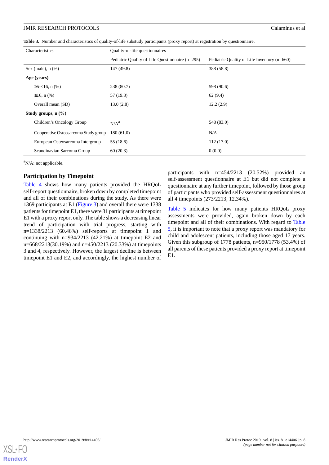<span id="page-7-0"></span>**Table 3.** Number and characteristics of quality-of-life substudy participants (proxy report) at registration by questionnaire.

| Characteristics                   |                                      | Quality-of-life questionnaires                  |                                             |  |  |
|-----------------------------------|--------------------------------------|-------------------------------------------------|---------------------------------------------|--|--|
|                                   |                                      | Pediatric Quality of Life Questionnaire (n=295) | Pediatric Quality of Life Inventory (n=660) |  |  |
| Sex (male), $n$ $%$ )             |                                      | 147 (49.8)                                      | 388 (58.8)                                  |  |  |
| Age (years)                       |                                      |                                                 |                                             |  |  |
|                                   | $\geq 5 - 16$ , n $(\% )$            | 238(80.7)                                       | 598 (90.6)                                  |  |  |
|                                   | $≥16$ , n $(%$                       | 57 (19.3)                                       | 62(9.4)                                     |  |  |
|                                   | Overall mean (SD)                    | 13.0(2.8)                                       | 12.2(2.9)                                   |  |  |
| Study groups, $n$ $(\frac{6}{6})$ |                                      |                                                 |                                             |  |  |
|                                   | Children's Oncology Group            | N/A <sup>a</sup>                                | 548 (83.0)                                  |  |  |
|                                   | Cooperative Osteosarcoma Study group | 180(61.0)                                       | N/A                                         |  |  |
|                                   | European Osteosarcoma Intergroup     | 55 (18.6)                                       | 112(17.0)                                   |  |  |
|                                   | Scandinavian Sarcoma Group           | 60(20.3)                                        | 0(0.0)                                      |  |  |

<sup>a</sup>N/A: not applicable.

#### **Participation by Timepoint**

[Table 4](#page-8-0) shows how many patients provided the HRQoL self-report questionnaire, broken down by completed timepoint and all of their combinations during the study. As there were 1369 participants at E1 ([Figure 3](#page-5-0)) and overall there were 1338 patients for timepoint E1, there were 31 participants at timepoint E1 with a proxy report only. The table shows a decreasing linear trend of participation with trial progress, starting with n=1338/2213 (60.46%) self-reports at timepoint 1 and continuing with n=934/2213 (42.21%) at timepoint E2 and n=668/2213(30.19%) and n=450/2213 (20.33%) at timepoints 3 and 4, respectively. However, the largest decline is between timepoint E1 and E2, and accordingly, the highest number of participants with n=454/2213 (20.52%) provided an self-assessment questionnaire at E1 but did not complete a questionnaire at any further timepoint, followed by those group of participants who provided self-assessment questionnaires at all 4 timepoints (273/2213; 12.34%).

[Table 5](#page-9-0) indicates for how many patients HRQoL proxy assessments were provided, again broken down by each timepoint and all of their combinations. With regard to [Table](#page-9-0) [5,](#page-9-0) it is important to note that a proxy report was mandatory for child and adolescent patients, including those aged 17 years. Given this subgroup of 1778 patients, n=950/1778 (53.4%) of all parents of these patients provided a proxy report at timepoint E1.

**[RenderX](http://www.renderx.com/)**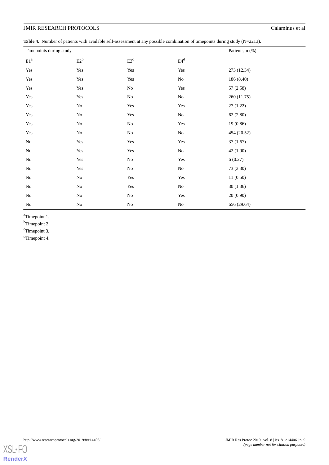<span id="page-8-0"></span>Table 4. Number of patients with available self-assessment at any possible combination of timepoints during study (N=2213).

| Timepoints during study  | Patients, n (%) |          |                      |             |
|--------------------------|-----------------|----------|----------------------|-------------|
| $\mathrm{E1}^\mathrm{a}$ | $E2^b$          | $E3^c$   | $E4^d$               |             |
| $\operatorname{Yes}$     | Yes             | Yes      | Yes                  | 273 (12.34) |
| Yes                      | Yes             | Yes      | $\rm No$             | 186 (8.40)  |
| Yes                      | Yes             | $\rm No$ | Yes                  | 57(2.58)    |
| Yes                      | Yes             | $\rm No$ | $\rm No$             | 260 (11.75) |
| Yes                      | $\rm No$        | Yes      | $\operatorname{Yes}$ | 27(1.22)    |
| Yes                      | $\rm No$        | Yes      | $\rm No$             | 62(2.80)    |
| Yes                      | $\rm No$        | $\rm No$ | $\operatorname{Yes}$ | 19 (0.86)   |
| $\operatorname{Yes}$     | $\rm No$        | $\rm No$ | $\rm No$             | 454 (20.52) |
| $\rm No$                 | Yes             | Yes      | $\operatorname{Yes}$ | 37(1.67)    |
| $\rm No$                 | Yes             | Yes      | $\rm No$             | 42 (1.90)   |
| No                       | Yes             | $\rm No$ | Yes                  | 6(0.27)     |
| No                       | Yes             | $\rm No$ | $\rm No$             | 73 (3.30)   |
| No                       | $\rm No$        | Yes      | Yes                  | 11(0.50)    |
| $\rm No$                 | $\rm No$        | Yes      | $\rm No$             | 30(1.36)    |
| No                       | $\rm No$        | $\rm No$ | $\operatorname{Yes}$ | 20(0.90)    |
| No                       | $\rm No$        | $\rm No$ | $\rm No$             | 656 (29.64) |

<sup>a</sup>Timepoint 1.

<sup>b</sup>Timepoint 2.

<sup>c</sup>Timepoint 3.

d<sub>Timepoint 4.</sub>

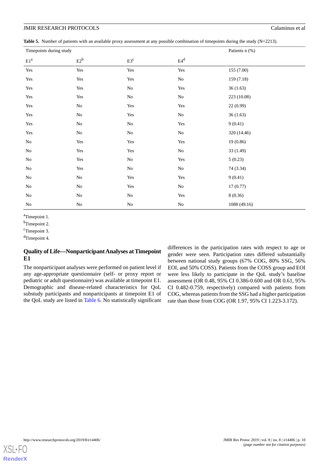<span id="page-9-0"></span>**Table 5.** Number of patients with an available proxy assessment at any possible combination of timepoints during the study (N=2213).

| Timepoints during study  | Patients n (%) |          |                      |              |
|--------------------------|----------------|----------|----------------------|--------------|
| $\mathrm{E1}^\mathrm{a}$ | $E2^b$         | $E3^c$   | $E4^d$               |              |
| $\operatorname{Yes}$     | Yes            | Yes      | $\operatorname{Yes}$ | 155 (7.00)   |
| Yes                      | Yes            | Yes      | $\rm No$             | 159 (7.18)   |
| Yes                      | Yes            | $\rm No$ | $\operatorname{Yes}$ | 36(1.63)     |
| $\operatorname{Yes}$     | Yes            | $\rm No$ | $\rm No$             | 223 (10.08)  |
| Yes                      | $\rm No$       | Yes      | Yes                  | 22 (0.99)    |
| $\operatorname{Yes}$     | $\rm No$       | Yes      | $\rm No$             | 36(1.63)     |
| $\operatorname{Yes}$     | $\rm No$       | $\rm No$ | $\operatorname{Yes}$ | 9(0.41)      |
| Yes                      | $\rm No$       | $\rm No$ | $\rm No$             | 320 (14.46)  |
| $\rm No$                 | Yes            | Yes      | $\operatorname{Yes}$ | 19 (0.86)    |
| No                       | Yes            | Yes      | $\rm No$             | 33 (1.49)    |
| $\rm No$                 | Yes            | $\rm No$ | Yes                  | 5(0.23)      |
| $\rm No$                 | Yes            | $\rm No$ | $\rm No$             | 74 (3.34)    |
| No                       | No             | Yes      | Yes                  | 9(0.41)      |
| No                       | $\rm No$       | Yes      | No                   | 17(0.77)     |
| No                       | $\rm No$       | $\rm No$ | Yes                  | 8(0.36)      |
| No                       | $\rm No$       | $\rm No$ | No                   | 1088 (49.16) |

<sup>a</sup>Timepoint 1.

b<sub>Timepoint 2.</sub>

<sup>c</sup>Timepoint 3.

<sup>d</sup>Timepoint 4.

## **Quality of Life—Nonparticipant Analyses at Timepoint E1**

The nonparticipant analyses were performed on patient level if any age-appropriate questionnaire (self- or proxy report or pediatric or adult questionnaire) was available at timepoint E1. Demographic and disease-related characteristics for QoL substudy participants and nonparticipants at timepoint E1 of the QoL study are listed in [Table 6.](#page-10-0) No statistically significant

differences in the participation rates with respect to age or gender were seen. Participation rates differed substantially between national study groups (67% COG, 80% SSG, 56% EOI, and 50% COSS). Patients from the COSS group and EOI were less likely to participate in the QoL study's baseline assessment (OR 0.48, 95% CI 0.386-0.600 and OR 0.61, 95% CI 0.482-0.759, respectively) compared with patients from COG, whereas patients from the SSG had a higher participation rate than those from COG (OR 1.97, 95% CI 1.223-3.172).

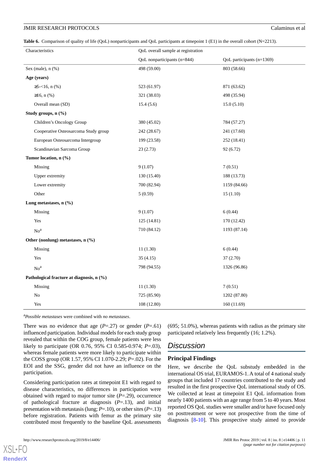<span id="page-10-0"></span>**Table 6.** Comparison of quality of life (QoL) nonparticipants and QoL participants at timepoint 1 (E1) in the overall cohort (N=2213).

| Characteristics                           |                                      | QoL overall sample at registration |                           |  |
|-------------------------------------------|--------------------------------------|------------------------------------|---------------------------|--|
|                                           |                                      | QoL nonparticipants (n=844)        | QoL participants (n=1369) |  |
| Sex (male), $n$ $%$ )                     |                                      | 498 (59.00)                        | 803 (58.66)               |  |
| Age (years)                               |                                      |                                    |                           |  |
| $\geq 5 - 16$ , n (%)                     |                                      | 523 (61.97)                        | 871 (63.62)               |  |
| $≥16$ , n (%)                             |                                      | 321 (38.03)                        | 498 (35.94)               |  |
| Overall mean (SD)                         |                                      | 15.4(5.6)                          | 15.0(5.10)                |  |
| Study groups, n (%)                       |                                      |                                    |                           |  |
| Children's Oncology Group                 |                                      | 380 (45.02)                        | 784 (57.27)               |  |
|                                           | Cooperative Osteosarcoma Study group | 242 (28.67)                        | 241 (17.60)               |  |
|                                           | European Osteosarcoma Intergroup     | 199 (23.58)                        | 252 (18.41)               |  |
|                                           | Scandinavian Sarcoma Group           | 23(2.73)                           | 92 (6.72)                 |  |
| Tumor location, n (%)                     |                                      |                                    |                           |  |
| Missing                                   |                                      | 9(1.07)                            | 7(0.51)                   |  |
| Upper extremity                           |                                      | 130 (15.40)                        | 188 (13.73)               |  |
| Lower extremity                           |                                      | 700 (82.94)                        | 1159 (84.66)              |  |
| Other                                     |                                      | 5(0.59)                            | 15(1.10)                  |  |
| Lung metastases, n (%)                    |                                      |                                    |                           |  |
| Missing                                   |                                      | 9(1.07)                            | 6(0.44)                   |  |
| Yes                                       |                                      | 125(14.81)                         | 170 (12.42)               |  |
| No <sup>a</sup>                           |                                      | 710 (84.12)                        | 1193 (87.14)              |  |
| Other (nonlung) metastases, n (%)         |                                      |                                    |                           |  |
| Missing                                   |                                      | 11(1.30)                           | 6(0.44)                   |  |
| Yes                                       |                                      | 35(4.15)                           | 37(2.70)                  |  |
| No <sup>a</sup>                           |                                      | 798 (94.55)                        | 1326 (96.86)              |  |
| Pathological fracture at diagnosis, n (%) |                                      |                                    |                           |  |
| Missing                                   |                                      | 11(1.30)                           | 7(0.51)                   |  |
| No                                        |                                      | 725 (85.90)                        | 1202 (87.80)              |  |
| Yes                                       |                                      | 108 (12.80)                        | 160 (11.69)               |  |

<sup>a</sup>*Possible metastases* were combined with *no metastases*.

There was no evidence that age  $(P=.27)$  or gender  $(P=.61)$ influenced participation. Individual models for each study group revealed that within the COG group, female patients were less likely to participate (OR 0.76, 95% CI 0.585-0.974; *P*=.03), whereas female patients were more likely to participate within the COSS group (OR 1.57, 95% CI 1.070-2.29; *P*=.02). For the EOI and the SSG, gender did not have an influence on the participation.

Considering participation rates at timepoint E1 with regard to disease characteristics, no differences in participation were obtained with regard to major tumor site (*P*=.29), occurrence of pathological fracture at diagnosis (*P*=.13), and initial presentation with metastasis (lung; *P*=.10), or other sites (*P*=.13) before registration. Patients with femur as the primary site contributed most frequently to the baseline QoL assessments

[XSL](http://www.w3.org/Style/XSL)•FO **[RenderX](http://www.renderx.com/)**

(695; 51.0%), whereas patients with radius as the primary site participated relatively less frequently (16; 1.2%).

## *Discussion*

#### **Principal Findings**

Here, we describe the QoL substudy embedded in the international OS trial, EURAMOS-1. A total of 4 national study groups that included 17 countries contributed to the study and resulted in the first prospective QoL international study of OS. We collected at least at timepoint E1 QoL information from nearly 1400 patients with an age range from 5 to 40 years. Most reported OS QoL studies were smaller and/or have focused only on posttreatment or were not prospective from the time of diagnosis [[8](#page-13-4)[-10](#page-13-5)]. This prospective study aimed to provide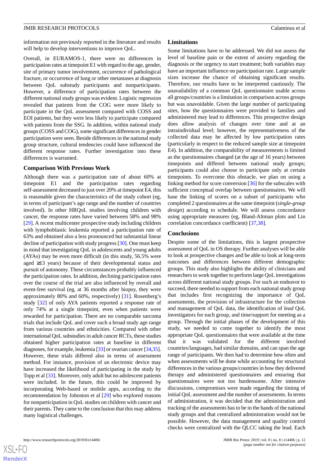information not previously reported in the literature and results will help to develop interventions to improve QoL.

Overall, in EURAMOS-1, there were no differences in participation rates at timepoint E1 with regard to the age, gender, site of primary tumor involvement, occurrence of pathological fracture, or occurrence of lung or other metastases at diagnosis between QoL substudy participants and nonparticipants. However, a difference of participation rates between the different national study groups was evident. Logistic regression revealed that patients from the COG were more likely to participate in the QoL assessment compared with COSS and EOI patients, but they were less likely to participate compared with patients from the SSG. In addition, within national study groups (COSS and COG), some significant differences in gender participation were seen. Beside differences in the national study group structure, cultural tendencies could have influenced the different response rates. Further investigation into these differences is warranted.

#### **Comparison With Previous Work**

Although there was a participation rate of about 60% at timepoint E1 and the participation rates regarding self-assessment decreased to just over 20% at timepoint E4, this is reasonable given the characteristics of the study cohort (eg, in terms of participant's age range and the number of countries involved). In other HRQoL studies involving children with cancer, the response rates have varied between 58% and 98% [[29\]](#page-14-10). A recent multicenter prospective study including children with lymphoblastic leukemia reported a participation rate of 63% and obtained also a less pronounced but substantial linear decline of participation with study progress [\[30\]](#page-14-11). One must keep in mind that investigating QoL in adolescents and young adults (AYAs) may be even more difficult (in this study, 56.5% were aged ≥13 years) because of their developmental status and pursuit of autonomy. These circumstances probably influenced the participation rates. In addition, declining participation rates over the course of the trial are also influenced by overall and event-free survival (eg, at 36 months after biopsy, they were approximately 80% and 60%, respectively) [[31\]](#page-14-12). Rosenberg's study [\[32](#page-14-13)] of only AYA patients reported a response rate of only 74% at a single timepoint, even when patients were rewarded for participation. There are no comparable sarcoma trials that include QoL and cover such a broad study age range from various countries and ethnicities. Compared with other international QoL substudies in adult cancer RCTs, these studies obtained higher participation rates at baseline in different diagnoses, for example, leukemia [\[33](#page-14-14)] or ovarian cancer [[34,](#page-14-15)[35\]](#page-14-16). However, these trials differed also in terms of assessment method. For instance, provision of an electronic device may have increased the likelihood of participating in the study by Topp et al [[33\]](#page-14-14). Moreover, only adult but no adolescent patients were included. In the future, this could be improved by incorporating Web-based or mobile apps, according to the recommendation by Johnston et al [[29\]](#page-14-10) who explored reasons for nonparticipation in QoL studies on children with cancer and their parents. They came to the conclusion that this may address many logistical challenges.

#### **Limitations**

Some limitations have to be addressed. We did not assess the level of baseline pain or the extent of anxiety regarding the diagnosis or the urgency to start treatment; both variables may have an important influence on participation rate. Large sample sizes increase the chance of obtaining significant results. Therefore, our results have to be interpreted cautiously. The unavailability of a common QoL questionnaire usable across all groups/countries is a limitation in comparison across groups but was unavoidable. Given the large number of participating sites, how the questionnaires were provided to families and administered may lead to differences. This prospective design does allow analysis of changes over time and at an intraindividual level; however, the representativeness of the collected data may be affected by low participation rates (particularly in respect to the reduced sample size at timepoint E4). In addition, the comparability of measurements is limited as the questionnaires changed (at the age of 16 years) between timepoints and differed between national study groups; participants could also choose to participate only at certain timepoints. To overcome this obstacle, we plan on using a linking method for score conversion [[36\]](#page-14-17) for the subscales with sufficient conceptual overlap between questionnaires. We will base the linking of scores on a subset of participants who completed 2 questionnaires at the same timepoint (*single-group design*) according to schedule. We will assess concordance using appropriate measures (eg, Bland-Altman plots and Lin correlation concordance coefficient) [[37](#page-14-18)[,38](#page-15-0)].

#### **Conclusions**

Despite some of the limitations, this is largest prospective assessment of QoL in OS therapy. Further analyses will be able to look at prospective changes and be able to look at long-term outcomes and differences between different demographic groups. This study also highlights the ability of clinicians and researchers to work together to perform large QoL investigations across different national study groups. For such an endeavor to succeed, there needed to support from each national study group that includes first recognizing the importance of QoL assessments, the provision of infrastructure for the collection and management of QoL data, the identification of *lead* QoL investigators for each group, and time/support for meeting as a group. Through the initial phases of the development of this study, we needed to come together to identify the most appropriate QoL questionnaires that were available at the time that it was validated for the different involved countries/languages, had similar domains, and can span the age range of participants. We then had to determine how often and when assessments will be done while accounting for structural differences in the various groups/countries in how they delivered therapy and administered questionnaires and ensuring that questionnaires were not too burdensome. After intensive discussions, compromises were made regarding the timing of initial QoL assessment and the number of assessments. In terms of administration, it was decided that the administration and tracking of the assessments has to be in the hands of the national study groups and that centralized administration would not be possible. However, the data management and quality control checks were centralized with the QLCC taking the lead. Each

 $XS$  • FC **[RenderX](http://www.renderx.com/)**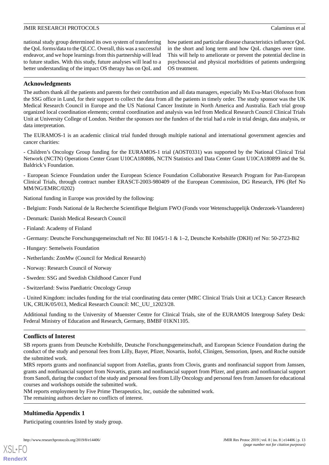national study group determined its own system of transferring the QoL forms/data to the QLCC. Overall, this was a successful endeavor, and we hope learnings from this partnership will lead to future studies. With this study, future analyses will lead to a better understanding of the impact OS therapy has on QoL and

how patient and particular disease characteristics influence QoL in the short and long term and how QoL changes over time. This will help to ameliorate or prevent the potential decline in psychosocial and physical morbidities of patients undergoing OS treatment.

## **Acknowledgments**

The authors thank all the patients and parents for their contribution and all data managers, especially Ms Eva-Mari Olofsson from the SSG office in Lund, for their support to collect the data from all the patients in timely order. The study sponsor was the UK Medical Research Council in Europe and the US National Cancer Institute in North America and Australia. Each trial group organized local coordination elements; central coordination and analysis was led from Medical Research Council Clinical Trials Unit at University College of London. Neither the sponsors nor the funders of the trial had a role in trial design, data analysis, or data interpretation.

The EURAMOS-1 is an academic clinical trial funded through multiple national and international government agencies and cancer charities:

- Children's Oncology Group funding for the EURAMOS-1 trial (AOST0331) was supported by the National Clinical Trial Network (NCTN) Operations Center Grant U10CA180886, NCTN Statistics and Data Center Grant U10CA180899 and the St. Baldrick's Foundation.

- European Science Foundation under the European Science Foundation Collaborative Research Program for Pan-European Clinical Trials, through contract number ERASCT-2003-980409 of the European Commission, DG Research, FP6 (Ref No MM/NG/EMRC/0202)

National funding in Europe was provided by the following:

- Belgium: Fonds National de la Recherche Scientifique Belgium FWO (Fonds voor Wetenschappelijk Onderzoek-Vlaanderen)
- Denmark: Danish Medical Research Council
- Finland: Academy of Finland
- Germany: Deutsche Forschungsgemeinschaft ref No: BI 1045/1-1 & 1–2, Deutsche Krebshilfe (DKH) ref No: 50-2723-Bi2
- Hungary: Semelweis Foundation
- Netherlands: ZonMw (Council for Medical Research)
- Norway: Research Council of Norway
- Sweden: SSG and Swedish Childhood Cancer Fund
- Switzerland: Swiss Paediatric Oncology Group

- United Kingdom: includes funding for the trial coordinating data center (MRC Clinical Trials Unit at UCL): Cancer Research UK, CRUK/05/013, Medical Research Council: MC\_UU\_12023/28.

Additional funding to the University of Muenster Centre for Clinical Trials, site of the EURAMOS Intergroup Safety Desk: Federal Ministry of Education and Research, Germany, BMBF 01KN1105.

## **Conflicts of Interest**

SB reports grants from Deutsche Krebshilfe, Deutsche Forschungsgemeinschaft, and European Science Foundation during the conduct of the study and personal fees from Lilly, Bayer, Pfizer, Novartis, Isofol, Clinigen, Sensorion, Ipsen, and Roche outside the submitted work.

<span id="page-12-0"></span>MRS reports grants and nonfinancial support from Astellas, grants from Clovis, grants and nonfinancial support from Janssen, grants and nonfinancial support from Novartis, grants and nonfinancial support from Pfizer, and grants and nonfinancial support from Sanofi, during the conduct of the study and personal fees from Lilly Oncology and personal fees from Janssen for educational courses and workshops outside the submitted work.

NM reports employment by Five Prime Therapeutics, Inc, outside the submitted work.

The remaining authors declare no conflicts of interest.

## **Multimedia Appendix 1**

[XSL](http://www.w3.org/Style/XSL)•FO **[RenderX](http://www.renderx.com/)**

Participating countries listed by study group.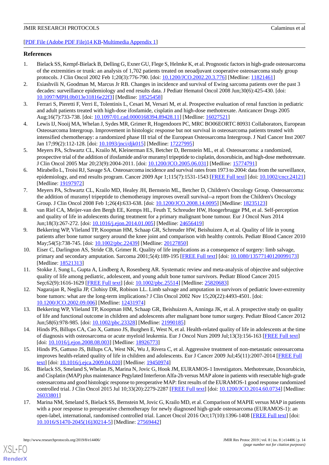#### [[PDF File \(Adobe PDF File\)14 KB](https://jmir.org/api/download?alt_name=resprot_v8i8e14406_app1.pdf&filename=fb2afe78b80e3625ad6bfde2057c80ab.pdf)-[Multimedia Appendix 1](https://jmir.org/api/download?alt_name=resprot_v8i8e14406_app1.pdf&filename=fb2afe78b80e3625ad6bfde2057c80ab.pdf)]

#### <span id="page-13-0"></span>**References**

- 1. Bielack SS, Kempf-Bielack B, Delling G, Exner GU, Flege S, Helmke K, et al. Prognostic factors in high-grade osteosarcoma of the extremities or trunk: an analysis of 1,702 patients treated on neoadjuvant cooperative osteosarcoma study group protocols. J Clin Oncol 2002 Feb 1;20(3):776-790. [doi: [10.1200/JCO.2002.20.3.776\]](http://dx.doi.org/10.1200/JCO.2002.20.3.776) [Medline: [11821461\]](http://www.ncbi.nlm.nih.gov/entrez/query.fcgi?cmd=Retrieve&db=PubMed&list_uids=11821461&dopt=Abstract)
- 2. Esiashvili N, Goodman M, Marcus Jr RB. Changes in incidence and survival of Ewing sarcoma patients over the past 3 decades: surveillance epidemiology and end results data. J Pediatr Hematol Oncol 2008 Jun;30(6):425-430. [doi: [10.1097/MPH.0b013e31816e22f3](http://dx.doi.org/10.1097/MPH.0b013e31816e22f3)] [Medline: [18525458\]](http://www.ncbi.nlm.nih.gov/entrez/query.fcgi?cmd=Retrieve&db=PubMed&list_uids=18525458&dopt=Abstract)
- 3. Ferrari S, Pieretti F, Verri E, Tolentinis L, Cesari M, Versari M, et al. Prospective evaluation of renal function in pediatric and adult patients treated with high-dose ifosfamide, cisplatin and high-dose methotrexate. Anticancer Drugs 2005 Aug;16(7):733-738. [doi: [10.1097/01.cad.0000168394.89428.11\]](http://dx.doi.org/10.1097/01.cad.0000168394.89428.11) [Medline: [16027521\]](http://www.ncbi.nlm.nih.gov/entrez/query.fcgi?cmd=Retrieve&db=PubMed&list_uids=16027521&dopt=Abstract)
- <span id="page-13-1"></span>4. Lewis IJ, Nooij MA, Whelan J, Sydes MR, Grimer R, Hogendoorn PC, MRC BO06EORTC 80931 Collaborators, European Osteosarcoma Intergroup. Improvement in histologic response but not survival in osteosarcoma patients treated with intensified chemotherapy: a randomized phase III trial of the European Osteosarcoma Intergroup. J Natl Cancer Inst 2007 Jan 17;99(2):112-128. [doi: [10.1093/jnci/djk015](http://dx.doi.org/10.1093/jnci/djk015)] [Medline: [17227995\]](http://www.ncbi.nlm.nih.gov/entrez/query.fcgi?cmd=Retrieve&db=PubMed&list_uids=17227995&dopt=Abstract)
- <span id="page-13-2"></span>5. Meyers PA, Schwartz CL, Krailo M, Kleinerman ES, Betcher D, Bernstein ML, et al. Osteosarcoma: a randomized, prospective trial of the addition of ifosfamide and/or muramyl tripeptide to cisplatin, doxorubicin, and high-dose methotrexate. J Clin Oncol 2005 Mar 20;23(9):2004-2011. [doi: [10.1200/JCO.2005.06.031\]](http://dx.doi.org/10.1200/JCO.2005.06.031) [Medline: [15774791\]](http://www.ncbi.nlm.nih.gov/entrez/query.fcgi?cmd=Retrieve&db=PubMed&list_uids=15774791&dopt=Abstract)
- <span id="page-13-3"></span>6. Mirabello L, Troisi RJ, Savage SA. Osteosarcoma incidence and survival rates from 1973 to 2004: data from the surveillance, epidemiology, and end results program. Cancer 2009 Apr 1;115(7):1531-1543 [[FREE Full text](https://doi.org/10.1002/cncr.24121)] [doi: [10.1002/cncr.24121](http://dx.doi.org/10.1002/cncr.24121)] [Medline: [19197972](http://www.ncbi.nlm.nih.gov/entrez/query.fcgi?cmd=Retrieve&db=PubMed&list_uids=19197972&dopt=Abstract)]
- <span id="page-13-4"></span>7. Meyers PA, Schwartz CL, Krailo MD, Healey JH, Bernstein ML, Betcher D, Children's Oncology Group. Osteosarcoma: the addition of muramyl tripeptide to chemotherapy improves overall survival--a report from the Children's Oncology Group. J Clin Oncol 2008 Feb 1;26(4):633-638. [doi: [10.1200/JCO.2008.14.0095\]](http://dx.doi.org/10.1200/JCO.2008.14.0095) [Medline: [18235123](http://www.ncbi.nlm.nih.gov/entrez/query.fcgi?cmd=Retrieve&db=PubMed&list_uids=18235123&dopt=Abstract)]
- 8. van Riel CA, Meijer-van den Bergh EE, Kemps HL, Feuth T, Schreuder HW, Hoogerbrugge PM, et al. Self-perception and quality of life in adolescents during treatment for a primary malignant bone tumour. Eur J Oncol Nurs 2014 Jun;18(3):267-272. [doi: [10.1016/j.ejon.2014.01.005\]](http://dx.doi.org/10.1016/j.ejon.2014.01.005) [Medline: [24656419](http://www.ncbi.nlm.nih.gov/entrez/query.fcgi?cmd=Retrieve&db=PubMed&list_uids=24656419&dopt=Abstract)]
- <span id="page-13-5"></span>9. Bekkering WP, Vlieland TP, Koopman HM, Schaap GR, Schreuder HW, Beishuizen A, et al. Quality of life in young patients after bone tumor surgery around the knee joint and comparison with healthy controls. Pediatr Blood Cancer 2010 May;54(5):738-745. [doi: [10.1002/pbc.22439](http://dx.doi.org/10.1002/pbc.22439)] [Medline: [20127850\]](http://www.ncbi.nlm.nih.gov/entrez/query.fcgi?cmd=Retrieve&db=PubMed&list_uids=20127850&dopt=Abstract)
- <span id="page-13-6"></span>10. Eiser C, Darlington AS, Stride CB, Grimer R. Quality of life implications as a consequence of surgery: limb salvage, primary and secondary amputation. Sarcoma 2001;5(4):189-195 [[FREE Full text\]](https://dx.doi.org/10.1080/13577140120099173) [doi: [10.1080/13577140120099173\]](http://dx.doi.org/10.1080/13577140120099173) [Medline: [18521313](http://www.ncbi.nlm.nih.gov/entrez/query.fcgi?cmd=Retrieve&db=PubMed&list_uids=18521313&dopt=Abstract)]
- <span id="page-13-8"></span><span id="page-13-7"></span>11. Stokke J, Sung L, Gupta A, Lindberg A, Rosenberg AR. Systematic review and meta-analysis of objective and subjective quality of life among pediatric, adolescent, and young adult bone tumor survivors. Pediatr Blood Cancer 2015 Sep;62(9):1616-1629 [[FREE Full text](http://europepmc.org/abstract/MED/25820683)] [doi: [10.1002/pbc.25514\]](http://dx.doi.org/10.1002/pbc.25514) [Medline: [25820683](http://www.ncbi.nlm.nih.gov/entrez/query.fcgi?cmd=Retrieve&db=PubMed&list_uids=25820683&dopt=Abstract)]
- <span id="page-13-9"></span>12. Nagarajan R, Neglia JP, Clohisy DR, Robison LL. Limb salvage and amputation in survivors of pediatric lower-extremity bone tumors: what are the long-term implications? J Clin Oncol 2002 Nov 15;20(22):4493-4501. [doi: [10.1200/JCO.2002.09.006](http://dx.doi.org/10.1200/JCO.2002.09.006)] [Medline: [12431974\]](http://www.ncbi.nlm.nih.gov/entrez/query.fcgi?cmd=Retrieve&db=PubMed&list_uids=12431974&dopt=Abstract)
- <span id="page-13-10"></span>13. Bekkering WP, Vlieland TP, Koopman HM, Schaap GR, Beishuizen A, Anninga JK, et al. A prospective study on quality of life and functional outcome in children and adolescents after malignant bone tumor surgery. Pediatr Blood Cancer 2012 Jun;58(6):978-985. [doi: [10.1002/pbc.23328\]](http://dx.doi.org/10.1002/pbc.23328) [Medline: [21990185](http://www.ncbi.nlm.nih.gov/entrez/query.fcgi?cmd=Retrieve&db=PubMed&list_uids=21990185&dopt=Abstract)]
- <span id="page-13-11"></span>14. Hinds PS, Billups CA, Cao X, Gattuso JS, Burghen E, West N, et al. Health-related quality of life in adolescents at the time of diagnosis with osteosarcoma or acute myeloid leukemia. Eur J Oncol Nurs 2009 Jul;13(3):156-163 [[FREE Full text](http://europepmc.org/abstract/MED/18926773)] [doi: [10.1016/j.ejon.2008.08.003](http://dx.doi.org/10.1016/j.ejon.2008.08.003)] [Medline: [18926773\]](http://www.ncbi.nlm.nih.gov/entrez/query.fcgi?cmd=Retrieve&db=PubMed&list_uids=18926773&dopt=Abstract)
- 15. Hinds PS, Gattuso JS, Billups CA, West NK, Wu J, Rivera C, et al. Aggressive treatment of non-metastatic osteosarcoma improves health-related quality of life in children and adolescents. Eur J Cancer 2009 Jul;45(11):2007-2014 [[FREE Full](http://europepmc.org/abstract/MED/19450974) [text](http://europepmc.org/abstract/MED/19450974)] [doi: [10.1016/j.ejca.2009.04.020\]](http://dx.doi.org/10.1016/j.ejca.2009.04.020) [Medline: [19450974\]](http://www.ncbi.nlm.nih.gov/entrez/query.fcgi?cmd=Retrieve&db=PubMed&list_uids=19450974&dopt=Abstract)
- 16. Bielack SS, Smeland S, Whelan JS, Marina N, Jovic G, Hook JM, EURAMOS-1 Investigators. Methotrexate, Doxorubicin, and Cisplatin (MAP) plus maintenance Pegylated Interferon Alfa-2b versus MAP alone in patients with resectable high-grade osteosarcoma and good histologic response to preoperative MAP: first results of the EURAMOS-1 good response randomized controlled trial. J Clin Oncol 2015 Jul 10;33(20):2279-2287 [\[FREE Full text](http://europepmc.org/abstract/MED/26033801)] [doi: [10.1200/JCO.2014.60.0734\]](http://dx.doi.org/10.1200/JCO.2014.60.0734) [Medline: [26033801](http://www.ncbi.nlm.nih.gov/entrez/query.fcgi?cmd=Retrieve&db=PubMed&list_uids=26033801&dopt=Abstract)]
- 17. Marina NM, Smeland S, Bielack SS, Bernstein M, Jovic G, Krailo MD, et al. Comparison of MAPIE versus MAP in patients with a poor response to preoperative chemotherapy for newly diagnosed high-grade osteosarcoma (EURAMOS-1): an open-label, international, randomised controlled trial. Lancet Oncol 2016 Oct;17(10):1396-1408 [[FREE Full text\]](https://linkinghub.elsevier.com/retrieve/pii/S1470-2045(16)30214-5) [doi: [10.1016/S1470-2045\(16\)30214-5\]](http://dx.doi.org/10.1016/S1470-2045(16)30214-5) [Medline: [27569442](http://www.ncbi.nlm.nih.gov/entrez/query.fcgi?cmd=Retrieve&db=PubMed&list_uids=27569442&dopt=Abstract)]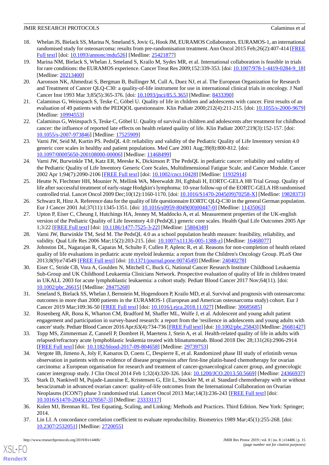- 18. Whelan JS, Bielack SS, Marina N, Smeland S, Jovic G, Hook JM, EURAMOS Collaborators. EURAMOS-1, an international randomised study for osteosarcoma: results from pre-randomisation treatment. Ann Oncol 2015 Feb;26(2):407-414 [\[FREE](http://europepmc.org/abstract/MED/25421877) [Full text\]](http://europepmc.org/abstract/MED/25421877) [doi: [10.1093/annonc/mdu526\]](http://dx.doi.org/10.1093/annonc/mdu526) [Medline: [25421877\]](http://www.ncbi.nlm.nih.gov/entrez/query.fcgi?cmd=Retrieve&db=PubMed&list_uids=25421877&dopt=Abstract)
- <span id="page-14-0"></span>19. Marina NM, Bielack S, Whelan J, Smeland S, Krailo M, Sydes MR, et al. International collaboration is feasible in trials for rare conditions: the EURAMOS experience. Cancer Treat Res 2009;152:339-353. [doi: [10.1007/978-1-4419-0284-9\\_18](http://dx.doi.org/10.1007/978-1-4419-0284-9_18)] [Medline: [20213400](http://www.ncbi.nlm.nih.gov/entrez/query.fcgi?cmd=Retrieve&db=PubMed&list_uids=20213400&dopt=Abstract)]
- <span id="page-14-1"></span>20. Aaronson NK, Ahmedzai S, Bergman B, Bullinger M, Cull A, Duez NJ, et al. The European Organization for Research and Treatment of Cancer QLQ-C30: a quality-of-life instrument for use in international clinical trials in oncology. J Natl Cancer Inst 1993 Mar 3;85(5):365-376. [doi: [10.1093/jnci/85.5.365](http://dx.doi.org/10.1093/jnci/85.5.365)] [Medline: [8433390](http://www.ncbi.nlm.nih.gov/entrez/query.fcgi?cmd=Retrieve&db=PubMed&list_uids=8433390&dopt=Abstract)]
- <span id="page-14-3"></span><span id="page-14-2"></span>21. Calaminus G, Weinspach S, Teske C, Göbel U. Quality of life in children and adolescents with cancer. First results of an evaluation of 49 patients with the PEDQOL questionnaire. Klin Padiatr 2000;212(4):211-215. [doi: [10.1055/s-2000-9679](http://dx.doi.org/10.1055/s-2000-9679)] [Medline: [10994553](http://www.ncbi.nlm.nih.gov/entrez/query.fcgi?cmd=Retrieve&db=PubMed&list_uids=10994553&dopt=Abstract)]
- <span id="page-14-4"></span>22. Calaminus G, Weinspach S, Teske C, Göbel U. Quality of survival in children and adolescents after treatment for childhood cancer: the influence of reported late effects on health related quality of life. Klin Padiatr 2007;219(3):152-157. [doi: [10.1055/s-2007-973846](http://dx.doi.org/10.1055/s-2007-973846)] [Medline: [17525909](http://www.ncbi.nlm.nih.gov/entrez/query.fcgi?cmd=Retrieve&db=PubMed&list_uids=17525909&dopt=Abstract)]
- <span id="page-14-5"></span>23. Varni JW, Seid M, Kurtin PS. PedsQL 4.0: reliability and validity of the Pediatric Quality of Life Inventory version 4.0 generic core scales in healthy and patient populations. Med Care 2001 Aug;39(8):800-812. [doi: [10.1097/00005650-200108000-00006](http://dx.doi.org/10.1097/00005650-200108000-00006)] [Medline: [11468499](http://www.ncbi.nlm.nih.gov/entrez/query.fcgi?cmd=Retrieve&db=PubMed&list_uids=11468499&dopt=Abstract)]
- <span id="page-14-6"></span>24. Varni JW, Burwinkle TM, Katz ER, Meeske K, Dickinson P. The PedsQL in pediatric cancer: reliability and validity of the Pediatric Quality of Life Inventory Generic Core Scales, Multidimensional Fatigue Scale, and Cancer Module. Cancer 2002 Apr 1;94(7):2090-2106 [[FREE Full text](https://onlinelibrary.wiley.com/resolve/openurl?genre=article&sid=nlm:pubmed&issn=0008-543X&date=2002&volume=94&issue=7&spage=2090)] [doi: [10.1002/cncr.10428\]](http://dx.doi.org/10.1002/cncr.10428) [Medline: [11932914\]](http://www.ncbi.nlm.nih.gov/entrez/query.fcgi?cmd=Retrieve&db=PubMed&list_uids=11932914&dopt=Abstract)
- <span id="page-14-7"></span>25. Heutte N, Flechtner HH, Mounier N, Mellink WA, Meerwaldt JH, Eghbali H, EORTC-GELA H8 Trial Group. Quality of life after successful treatment of early-stage Hodgkin's lymphoma: 10-year follow-up of the EORTC-GELA H8 randomised controlled trial. Lancet Oncol 2009 Dec;10(12):1160-1170. [doi: [10.1016/S1470-2045\(09\)70258-X](http://dx.doi.org/10.1016/S1470-2045(09)70258-X)] [Medline: [19828373](http://www.ncbi.nlm.nih.gov/entrez/query.fcgi?cmd=Retrieve&db=PubMed&list_uids=19828373&dopt=Abstract)]
- <span id="page-14-8"></span>26. Schwarz R, Hinz A. Reference data for the quality of life questionnaire EORTC QLQ-C30 in the general German population. Eur J Cancer 2001 Jul;37(11):1345-1351. [doi: [10.1016/s0959-8049\(00\)00447-0](http://dx.doi.org/10.1016/s0959-8049(00)00447-0)] [Medline: [11435063](http://www.ncbi.nlm.nih.gov/entrez/query.fcgi?cmd=Retrieve&db=PubMed&list_uids=11435063&dopt=Abstract)]
- <span id="page-14-10"></span><span id="page-14-9"></span>27. Upton P, Eiser C, Cheung I, Hutchings HA, Jenney M, Maddocks A, et al. Measurement properties of the UK-english version of the Pediatric Quality of Life Inventory 4.0 (PedsQL) generic core scales. Health Qual Life Outcomes 2005 Apr 1;3:22 [[FREE Full text](https://hqlo.biomedcentral.com/articles/10.1186/1477-7525-3-22)] [doi: [10.1186/1477-7525-3-22\]](http://dx.doi.org/10.1186/1477-7525-3-22) [Medline: [15804349\]](http://www.ncbi.nlm.nih.gov/entrez/query.fcgi?cmd=Retrieve&db=PubMed&list_uids=15804349&dopt=Abstract)
- 28. Varni JW, Burwinkle TM, Seid M. The PedsQL 4.0 as a school population health measure: feasibility, reliability, and validity. Qual Life Res 2006 Mar;15(2):203-215. [doi: [10.1007/s11136-005-1388-z\]](http://dx.doi.org/10.1007/s11136-005-1388-z) [Medline: [16468077](http://www.ncbi.nlm.nih.gov/entrez/query.fcgi?cmd=Retrieve&db=PubMed&list_uids=16468077&dopt=Abstract)]
- <span id="page-14-11"></span>29. Johnston DL, Nagarajan R, Caparas M, Schulte F, Cullen P, Aplenc R, et al. Reasons for non-completion of health related quality of life evaluations in pediatric acute myeloid leukemia: a report from the Children's Oncology Group. PLoS One 2013;8(9):e74549 [\[FREE Full text](http://dx.plos.org/10.1371/journal.pone.0074549)] [doi: [10.1371/journal.pone.0074549\]](http://dx.doi.org/10.1371/journal.pone.0074549) [Medline: [24040278](http://www.ncbi.nlm.nih.gov/entrez/query.fcgi?cmd=Retrieve&db=PubMed&list_uids=24040278&dopt=Abstract)]
- <span id="page-14-12"></span>30. Eiser C, Stride CB, Vora A, Goulden N, Mitchell C, Buck G, National Cancer Research Institute Childhood Leukaemia Sub-Group and UK Childhood Leukaemia Clinicians Network. Prospective evaluation of quality of life in children treated in UKALL 2003 for acute lymphoblastic leukaemia: a cohort study. Pediatr Blood Cancer 2017 Nov;64(11). [doi: [10.1002/pbc.26615\]](http://dx.doi.org/10.1002/pbc.26615) [Medline: [28475268\]](http://www.ncbi.nlm.nih.gov/entrez/query.fcgi?cmd=Retrieve&db=PubMed&list_uids=28475268&dopt=Abstract)
- <span id="page-14-14"></span><span id="page-14-13"></span>31. Smeland S, Bielack SS, Whelan J, Bernstein M, Hogendoorn P, Krailo MD, et al. Survival and prognosis with osteosarcoma: outcomes in more than 2000 patients in the EURAMOS-1 (European and American osteosarcoma study) cohort. Eur J Cancer 2019 Mar;109:36-50 [\[FREE Full text\]](https://linkinghub.elsevier.com/retrieve/pii/S0959-8049(18)31534-X) [doi: [10.1016/j.ejca.2018.11.027](http://dx.doi.org/10.1016/j.ejca.2018.11.027)] [Medline: [30685685\]](http://www.ncbi.nlm.nih.gov/entrez/query.fcgi?cmd=Retrieve&db=PubMed&list_uids=30685685&dopt=Abstract)
- <span id="page-14-15"></span>32. Rosenberg AR, Bona K, Wharton CM, Bradford M, Shaffer ML, Wolfe J, et al. Adolescent and young adult patient engagement and participation in survey-based research: a report from the 'resilience in adolescents and young adults with cancer' study. Pediatr Blood Cancer 2016 Apr;63(4):734-736 [[FREE Full text\]](http://europepmc.org/abstract/MED/26681427) [doi: [10.1002/pbc.25843\]](http://dx.doi.org/10.1002/pbc.25843) [Medline: [26681427\]](http://www.ncbi.nlm.nih.gov/entrez/query.fcgi?cmd=Retrieve&db=PubMed&list_uids=26681427&dopt=Abstract)
- <span id="page-14-16"></span>33. Topp MS, Zimmerman Z, Cannell P, Dombret H, Maertens J, Stein A, et al. Health-related quality of life in adults with relapsed/refractory acute lymphoblastic leukemia treated with blinatumomab. Blood 2018 Dec 28;131(26):2906-2914 [[FREE Full text](http://www.bloodjournal.org/cgi/pmidlookup?view=long&pmid=29739753)] [doi: [10.1182/blood-2017-09-804658\]](http://dx.doi.org/10.1182/blood-2017-09-804658) [Medline: [29739753](http://www.ncbi.nlm.nih.gov/entrez/query.fcgi?cmd=Retrieve&db=PubMed&list_uids=29739753&dopt=Abstract)]
- <span id="page-14-17"></span>34. Vergote IB, Jimeno A, Joly F, Katsaros D, Coens C, Despierre E, et al. Randomized phase III study of erlotinib versus observation in patients with no evidence of disease progression after first-line platin-based chemotherapy for ovarian carcinoma: a European organisation for research and treatment of cancer-gynaecological cancer group, and gynecologic cancer intergroup study. J Clin Oncol 2014 Feb 1;32(4):320-326. [doi: [10.1200/JCO.2013.50.5669\]](http://dx.doi.org/10.1200/JCO.2013.50.5669) [Medline: [24366937](http://www.ncbi.nlm.nih.gov/entrez/query.fcgi?cmd=Retrieve&db=PubMed&list_uids=24366937&dopt=Abstract)]
- <span id="page-14-18"></span>35. Stark D, Nankivell M, Pujade-Lauraine E, Kristensen G, Elit L, Stockler M, et al. Standard chemotherapy with or without bevacizumab in advanced ovarian cancer: quality-of-life outcomes from the International Collaboration on Ovarian Neoplasms (ICON7) phase 3 randomised trial. Lancet Oncol 2013 Mar;14(3):236-243 [\[FREE Full text\]](http://europepmc.org/abstract/MED/23333117) [doi: [10.1016/S1470-2045\(12\)70567-3\]](http://dx.doi.org/10.1016/S1470-2045(12)70567-3) [Medline: [23333117](http://www.ncbi.nlm.nih.gov/entrez/query.fcgi?cmd=Retrieve&db=PubMed&list_uids=23333117&dopt=Abstract)]
- 36. Kolen MJ, Brennan RL. Test Equating, Scaling, and Linking: Methods and Practices. Third Edition. New York: Springer; 2014.
- 37. Lin LI. A concordance correlation coefficient to evaluate reproducibility. Biometrics 1989 Mar;45(1):255-268. [doi: [10.2307/2532051\]](http://dx.doi.org/10.2307/2532051) [Medline: [2720055\]](http://www.ncbi.nlm.nih.gov/entrez/query.fcgi?cmd=Retrieve&db=PubMed&list_uids=2720055&dopt=Abstract)